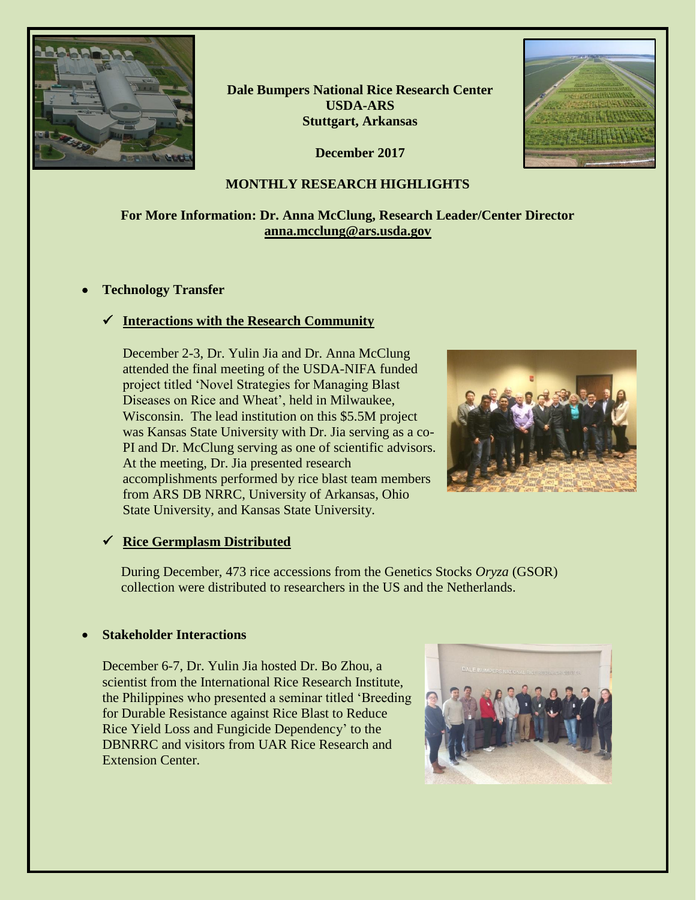

**Dale Bumpers National Rice Research Center USDA-ARS Stuttgart, Arkansas**

**December 2017**



# **For More Information: Dr. Anna McClung, Research Leader/Center Director [anna.mcclung@ars.usda.gov](mailto:anna.mcclung@ars.usda.gov)**

#### • **Technology Transfer**

# ✓ **Interactions with the Research Community**

December 2-3, Dr. Yulin Jia and Dr. Anna McClung attended the final meeting of the USDA-NIFA funded project titled 'Novel Strategies for Managing Blast Diseases on Rice and Wheat', held in Milwaukee, Wisconsin. The lead institution on this \$5.5M project was Kansas State University with Dr. Jia serving as a co-PI and Dr. McClung serving as one of scientific advisors. At the meeting, Dr. Jia presented research accomplishments performed by rice blast team members from ARS DB NRRC, University of Arkansas, Ohio State University, and Kansas State University.



# ✓ **Rice Germplasm Distributed**

During December, 473 rice accessions from the Genetics Stocks *Oryza* (GSOR) collection were distributed to researchers in the US and the Netherlands.

#### • **Stakeholder Interactions**

December 6-7, Dr. Yulin Jia hosted Dr. Bo Zhou, a scientist from the International Rice Research Institute, the Philippines who presented a seminar titled 'Breeding for Durable Resistance against Rice Blast to Reduce Rice Yield Loss and Fungicide Dependency' to the DBNRRC and visitors from UAR Rice Research and Extension Center.